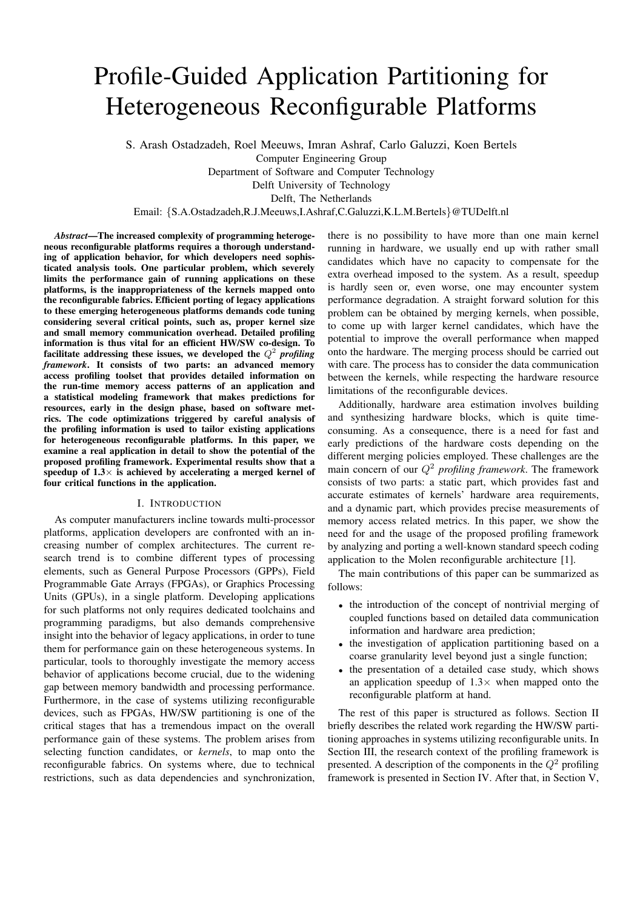# Profile-Guided Application Partitioning for Heterogeneous Reconfigurable Platforms

S. Arash Ostadzadeh, Roel Meeuws, Imran Ashraf, Carlo Galuzzi, Koen Bertels

Computer Engineering Group

Department of Software and Computer Technology

Delft University of Technology

Delft, The Netherlands

Email: {S.A.Ostadzadeh,R.J.Meeuws,I.Ashraf,C.Galuzzi,K.L.M.Bertels}@TUDelft.nl

*Abstract*—The increased complexity of programming heterogeneous reconfigurable platforms requires a thorough understanding of application behavior, for which developers need sophisticated analysis tools. One particular problem, which severely limits the performance gain of running applications on these platforms, is the inappropriateness of the kernels mapped onto the reconfigurable fabrics. Efficient porting of legacy applications to these emerging heterogeneous platforms demands code tuning considering several critical points, such as, proper kernel size and small memory communication overhead. Detailed profiling information is thus vital for an efficient HW/SW co-design. To facilitate addressing these issues, we developed the Q 2 *profiling framework*. It consists of two parts: an advanced memory access profiling toolset that provides detailed information on the run-time memory access patterns of an application and a statistical modeling framework that makes predictions for resources, early in the design phase, based on software metrics. The code optimizations triggered by careful analysis of the profiling information is used to tailor existing applications for heterogeneous reconfigurable platforms. In this paper, we examine a real application in detail to show the potential of the proposed profiling framework. Experimental results show that a speedup of  $1.3 \times$  is achieved by accelerating a merged kernel of four critical functions in the application.

# I. INTRODUCTION

As computer manufacturers incline towards multi-processor platforms, application developers are confronted with an increasing number of complex architectures. The current research trend is to combine different types of processing elements, such as General Purpose Processors (GPPs), Field Programmable Gate Arrays (FPGAs), or Graphics Processing Units (GPUs), in a single platform. Developing applications for such platforms not only requires dedicated toolchains and programming paradigms, but also demands comprehensive insight into the behavior of legacy applications, in order to tune them for performance gain on these heterogeneous systems. In particular, tools to thoroughly investigate the memory access behavior of applications become crucial, due to the widening gap between memory bandwidth and processing performance. Furthermore, in the case of systems utilizing reconfigurable devices, such as FPGAs, HW/SW partitioning is one of the critical stages that has a tremendous impact on the overall performance gain of these systems. The problem arises from selecting function candidates, or *kernels*, to map onto the reconfigurable fabrics. On systems where, due to technical restrictions, such as data dependencies and synchronization,

there is no possibility to have more than one main kernel running in hardware, we usually end up with rather small candidates which have no capacity to compensate for the extra overhead imposed to the system. As a result, speedup is hardly seen or, even worse, one may encounter system performance degradation. A straight forward solution for this problem can be obtained by merging kernels, when possible, to come up with larger kernel candidates, which have the potential to improve the overall performance when mapped onto the hardware. The merging process should be carried out with care. The process has to consider the data communication between the kernels, while respecting the hardware resource limitations of the reconfigurable devices.

Additionally, hardware area estimation involves building and synthesizing hardware blocks, which is quite timeconsuming. As a consequence, there is a need for fast and early predictions of the hardware costs depending on the different merging policies employed. These challenges are the main concern of our Q<sup>2</sup> *profiling framework*. The framework consists of two parts: a static part, which provides fast and accurate estimates of kernels' hardware area requirements, and a dynamic part, which provides precise measurements of memory access related metrics. In this paper, we show the need for and the usage of the proposed profiling framework by analyzing and porting a well-known standard speech coding application to the Molen reconfigurable architecture [1].

The main contributions of this paper can be summarized as follows:

- the introduction of the concept of nontrivial merging of coupled functions based on detailed data communication information and hardware area prediction;
- the investigation of application partitioning based on a coarse granularity level beyond just a single function;
- the presentation of a detailed case study, which shows an application speedup of  $1.3\times$  when mapped onto the reconfigurable platform at hand.

The rest of this paper is structured as follows. Section II briefly describes the related work regarding the HW/SW partitioning approaches in systems utilizing reconfigurable units. In Section III, the research context of the profiling framework is presented. A description of the components in the  $Q^2$  profiling framework is presented in Section IV. After that, in Section V,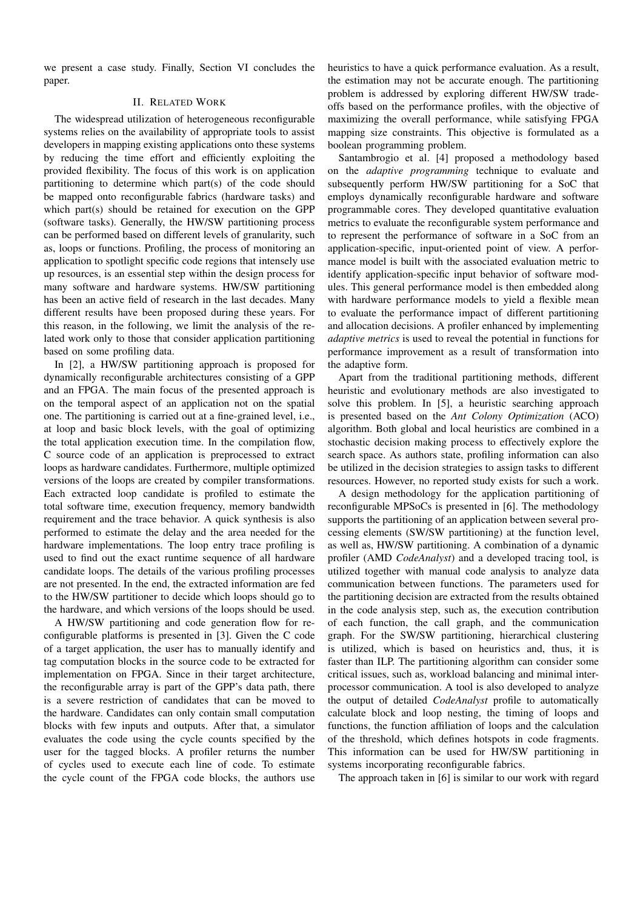we present a case study. Finally, Section VI concludes the paper.

# II. RELATED WORK

The widespread utilization of heterogeneous reconfigurable systems relies on the availability of appropriate tools to assist developers in mapping existing applications onto these systems by reducing the time effort and efficiently exploiting the provided flexibility. The focus of this work is on application partitioning to determine which part(s) of the code should be mapped onto reconfigurable fabrics (hardware tasks) and which part(s) should be retained for execution on the GPP (software tasks). Generally, the HW/SW partitioning process can be performed based on different levels of granularity, such as, loops or functions. Profiling, the process of monitoring an application to spotlight specific code regions that intensely use up resources, is an essential step within the design process for many software and hardware systems. HW/SW partitioning has been an active field of research in the last decades. Many different results have been proposed during these years. For this reason, in the following, we limit the analysis of the related work only to those that consider application partitioning based on some profiling data.

In [2], a HW/SW partitioning approach is proposed for dynamically reconfigurable architectures consisting of a GPP and an FPGA. The main focus of the presented approach is on the temporal aspect of an application not on the spatial one. The partitioning is carried out at a fine-grained level, i.e., at loop and basic block levels, with the goal of optimizing the total application execution time. In the compilation flow, C source code of an application is preprocessed to extract loops as hardware candidates. Furthermore, multiple optimized versions of the loops are created by compiler transformations. Each extracted loop candidate is profiled to estimate the total software time, execution frequency, memory bandwidth requirement and the trace behavior. A quick synthesis is also performed to estimate the delay and the area needed for the hardware implementations. The loop entry trace profiling is used to find out the exact runtime sequence of all hardware candidate loops. The details of the various profiling processes are not presented. In the end, the extracted information are fed to the HW/SW partitioner to decide which loops should go to the hardware, and which versions of the loops should be used.

A HW/SW partitioning and code generation flow for reconfigurable platforms is presented in [3]. Given the C code of a target application, the user has to manually identify and tag computation blocks in the source code to be extracted for implementation on FPGA. Since in their target architecture, the reconfigurable array is part of the GPP's data path, there is a severe restriction of candidates that can be moved to the hardware. Candidates can only contain small computation blocks with few inputs and outputs. After that, a simulator evaluates the code using the cycle counts specified by the user for the tagged blocks. A profiler returns the number of cycles used to execute each line of code. To estimate the cycle count of the FPGA code blocks, the authors use

heuristics to have a quick performance evaluation. As a result, the estimation may not be accurate enough. The partitioning problem is addressed by exploring different HW/SW tradeoffs based on the performance profiles, with the objective of maximizing the overall performance, while satisfying FPGA mapping size constraints. This objective is formulated as a boolean programming problem.

Santambrogio et al. [4] proposed a methodology based on the *adaptive programming* technique to evaluate and subsequently perform HW/SW partitioning for a SoC that employs dynamically reconfigurable hardware and software programmable cores. They developed quantitative evaluation metrics to evaluate the reconfigurable system performance and to represent the performance of software in a SoC from an application-specific, input-oriented point of view. A performance model is built with the associated evaluation metric to identify application-specific input behavior of software modules. This general performance model is then embedded along with hardware performance models to yield a flexible mean to evaluate the performance impact of different partitioning and allocation decisions. A profiler enhanced by implementing *adaptive metrics* is used to reveal the potential in functions for performance improvement as a result of transformation into the adaptive form.

Apart from the traditional partitioning methods, different heuristic and evolutionary methods are also investigated to solve this problem. In [5], a heuristic searching approach is presented based on the *Ant Colony Optimization* (ACO) algorithm. Both global and local heuristics are combined in a stochastic decision making process to effectively explore the search space. As authors state, profiling information can also be utilized in the decision strategies to assign tasks to different resources. However, no reported study exists for such a work.

A design methodology for the application partitioning of reconfigurable MPSoCs is presented in [6]. The methodology supports the partitioning of an application between several processing elements (SW/SW partitioning) at the function level, as well as, HW/SW partitioning. A combination of a dynamic profiler (AMD *CodeAnalyst*) and a developed tracing tool, is utilized together with manual code analysis to analyze data communication between functions. The parameters used for the partitioning decision are extracted from the results obtained in the code analysis step, such as, the execution contribution of each function, the call graph, and the communication graph. For the SW/SW partitioning, hierarchical clustering is utilized, which is based on heuristics and, thus, it is faster than ILP. The partitioning algorithm can consider some critical issues, such as, workload balancing and minimal interprocessor communication. A tool is also developed to analyze the output of detailed *CodeAnalyst* profile to automatically calculate block and loop nesting, the timing of loops and functions, the function affiliation of loops and the calculation of the threshold, which defines hotspots in code fragments. This information can be used for HW/SW partitioning in systems incorporating reconfigurable fabrics.

The approach taken in [6] is similar to our work with regard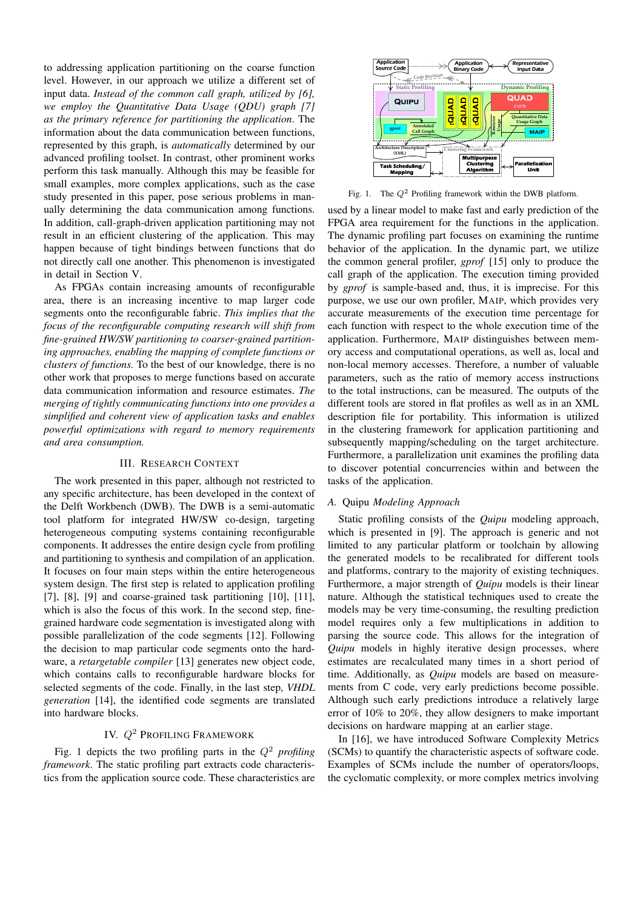to addressing application partitioning on the coarse function level. However, in our approach we utilize a different set of input data. *Instead of the common call graph, utilized by [6], we employ the Quantitative Data Usage (QDU) graph [7] as the primary reference for partitioning the application*. The information about the data communication between functions, represented by this graph, is *automatically* determined by our advanced profiling toolset. In contrast, other prominent works perform this task manually. Although this may be feasible for small examples, more complex applications, such as the case study presented in this paper, pose serious problems in manually determining the data communication among functions. In addition, call-graph-driven application partitioning may not result in an efficient clustering of the application. This may happen because of tight bindings between functions that do not directly call one another. This phenomenon is investigated in detail in Section V.

As FPGAs contain increasing amounts of reconfigurable area, there is an increasing incentive to map larger code segments onto the reconfigurable fabric. *This implies that the focus of the reconfigurable computing research will shift from fine-grained HW/SW partitioning to coarser-grained partitioning approaches, enabling the mapping of complete functions or clusters of functions.* To the best of our knowledge, there is no other work that proposes to merge functions based on accurate data communication information and resource estimates. *The merging of tightly communicating functions into one provides a simplified and coherent view of application tasks and enables powerful optimizations with regard to memory requirements and area consumption.*

## III. RESEARCH CONTEXT

The work presented in this paper, although not restricted to any specific architecture, has been developed in the context of the Delft Workbench (DWB). The DWB is a semi-automatic tool platform for integrated HW/SW co-design, targeting heterogeneous computing systems containing reconfigurable components. It addresses the entire design cycle from profiling and partitioning to synthesis and compilation of an application. It focuses on four main steps within the entire heterogeneous system design. The first step is related to application profiling [7], [8], [9] and coarse-grained task partitioning [10], [11], which is also the focus of this work. In the second step, finegrained hardware code segmentation is investigated along with possible parallelization of the code segments [12]. Following the decision to map particular code segments onto the hardware, a *retargetable compiler* [13] generates new object code, which contains calls to reconfigurable hardware blocks for selected segments of the code. Finally, in the last step, *VHDL generation* [14], the identified code segments are translated into hardware blocks.

# IV. Q<sup>2</sup> PROFILING FRAMEWORK

Fig. 1 depicts the two profiling parts in the Q<sup>2</sup> *profiling framework*. The static profiling part extracts code characteristics from the application source code. These characteristics are



Fig. 1. The  $Q^2$  Profiling framework within the DWB platform.

used by a linear model to make fast and early prediction of the FPGA area requirement for the functions in the application. The dynamic profiling part focuses on examining the runtime behavior of the application. In the dynamic part, we utilize the common general profiler, *gprof* [15] only to produce the call graph of the application. The execution timing provided by *gprof* is sample-based and, thus, it is imprecise. For this purpose, we use our own profiler, MAIP, which provides very accurate measurements of the execution time percentage for each function with respect to the whole execution time of the application. Furthermore, MAIP distinguishes between memory access and computational operations, as well as, local and non-local memory accesses. Therefore, a number of valuable parameters, such as the ratio of memory access instructions to the total instructions, can be measured. The outputs of the different tools are stored in flat profiles as well as in an XML description file for portability. This information is utilized in the clustering framework for application partitioning and subsequently mapping/scheduling on the target architecture. Furthermore, a parallelization unit examines the profiling data to discover potential concurrencies within and between the tasks of the application.

# *A.* Quipu *Modeling Approach*

Static profiling consists of the *Quipu* modeling approach, which is presented in [9]. The approach is generic and not limited to any particular platform or toolchain by allowing the generated models to be recalibrated for different tools and platforms, contrary to the majority of existing techniques. Furthermore, a major strength of *Quipu* models is their linear nature. Although the statistical techniques used to create the models may be very time-consuming, the resulting prediction model requires only a few multiplications in addition to parsing the source code. This allows for the integration of *Quipu* models in highly iterative design processes, where estimates are recalculated many times in a short period of time. Additionally, as *Quipu* models are based on measurements from C code, very early predictions become possible. Although such early predictions introduce a relatively large error of 10% to 20%, they allow designers to make important decisions on hardware mapping at an earlier stage.

In [16], we have introduced Software Complexity Metrics (SCMs) to quantify the characteristic aspects of software code. Examples of SCMs include the number of operators/loops, the cyclomatic complexity, or more complex metrics involving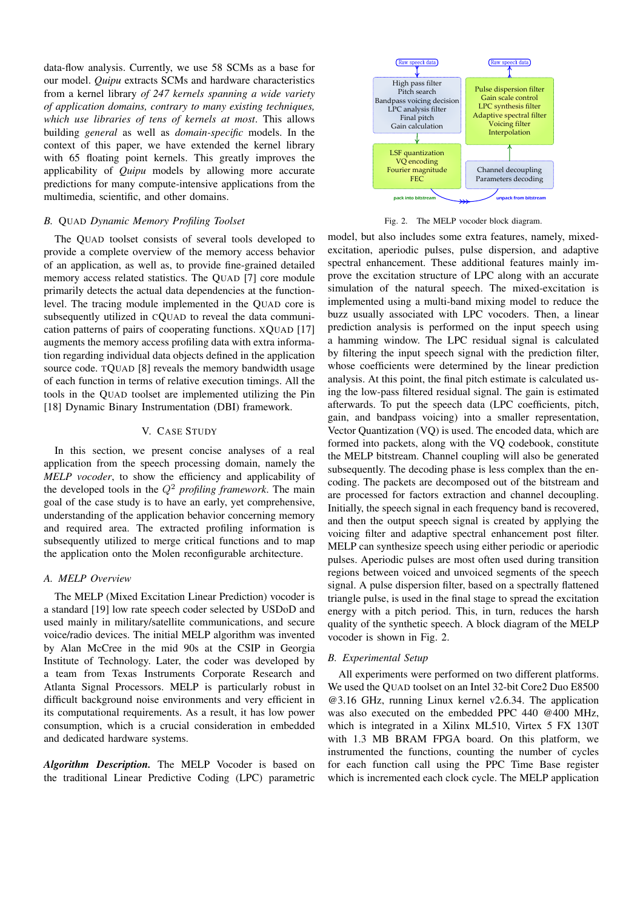data-flow analysis. Currently, we use 58 SCMs as a base for our model. *Quipu* extracts SCMs and hardware characteristics from a kernel library *of 247 kernels spanning a wide variety of application domains, contrary to many existing techniques, which use libraries of tens of kernels at most*. This allows building *general* as well as *domain-specific* models. In the context of this paper, we have extended the kernel library with 65 floating point kernels. This greatly improves the applicability of *Quipu* models by allowing more accurate predictions for many compute-intensive applications from the multimedia, scientific, and other domains.

# *B.* QUAD *Dynamic Memory Profiling Toolset*

The QUAD toolset consists of several tools developed to provide a complete overview of the memory access behavior of an application, as well as, to provide fine-grained detailed memory access related statistics. The QUAD [7] core module primarily detects the actual data dependencies at the functionlevel. The tracing module implemented in the QUAD core is subsequently utilized in CQUAD to reveal the data communication patterns of pairs of cooperating functions. XQUAD [17] augments the memory access profiling data with extra information regarding individual data objects defined in the application source code. TQUAD [8] reveals the memory bandwidth usage of each function in terms of relative execution timings. All the tools in the QUAD toolset are implemented utilizing the Pin [18] Dynamic Binary Instrumentation (DBI) framework.

# V. CASE STUDY

In this section, we present concise analyses of a real application from the speech processing domain, namely the *MELP vocoder*, to show the efficiency and applicability of the developed tools in the  $Q^2$  *profiling framework*. The main goal of the case study is to have an early, yet comprehensive, understanding of the application behavior concerning memory and required area. The extracted profiling information is subsequently utilized to merge critical functions and to map the application onto the Molen reconfigurable architecture.

# *A. MELP Overview*

The MELP (Mixed Excitation Linear Prediction) vocoder is a standard [19] low rate speech coder selected by USDoD and used mainly in military/satellite communications, and secure voice/radio devices. The initial MELP algorithm was invented by Alan McCree in the mid 90s at the CSIP in Georgia Institute of Technology. Later, the coder was developed by a team from Texas Instruments Corporate Research and Atlanta Signal Processors. MELP is particularly robust in difficult background noise environments and very efficient in its computational requirements. As a result, it has low power consumption, which is a crucial consideration in embedded and dedicated hardware systems.

*Algorithm Description.* The MELP Vocoder is based on the traditional Linear Predictive Coding (LPC) parametric



Fig. 2. The MELP vocoder block diagram.

model, but also includes some extra features, namely, mixedexcitation, aperiodic pulses, pulse dispersion, and adaptive spectral enhancement. These additional features mainly improve the excitation structure of LPC along with an accurate simulation of the natural speech. The mixed-excitation is implemented using a multi-band mixing model to reduce the buzz usually associated with LPC vocoders. Then, a linear prediction analysis is performed on the input speech using a hamming window. The LPC residual signal is calculated by filtering the input speech signal with the prediction filter, whose coefficients were determined by the linear prediction analysis. At this point, the final pitch estimate is calculated using the low-pass filtered residual signal. The gain is estimated afterwards. To put the speech data (LPC coefficients, pitch, gain, and bandpass voicing) into a smaller representation, Vector Quantization (VQ) is used. The encoded data, which are formed into packets, along with the VQ codebook, constitute the MELP bitstream. Channel coupling will also be generated subsequently. The decoding phase is less complex than the encoding. The packets are decomposed out of the bitstream and are processed for factors extraction and channel decoupling. Initially, the speech signal in each frequency band is recovered, and then the output speech signal is created by applying the voicing filter and adaptive spectral enhancement post filter. MELP can synthesize speech using either periodic or aperiodic pulses. Aperiodic pulses are most often used during transition regions between voiced and unvoiced segments of the speech signal. A pulse dispersion filter, based on a spectrally flattened triangle pulse, is used in the final stage to spread the excitation energy with a pitch period. This, in turn, reduces the harsh quality of the synthetic speech. A block diagram of the MELP vocoder is shown in Fig. 2.

### *B. Experimental Setup*

All experiments were performed on two different platforms. We used the QUAD toolset on an Intel 32-bit Core2 Duo E8500 @3.16 GHz, running Linux kernel v2.6.34. The application was also executed on the embedded PPC 440 @400 MHz, which is integrated in a Xilinx ML510, Virtex 5 FX 130T with 1.3 MB BRAM FPGA board. On this platform, we instrumented the functions, counting the number of cycles for each function call using the PPC Time Base register which is incremented each clock cycle. The MELP application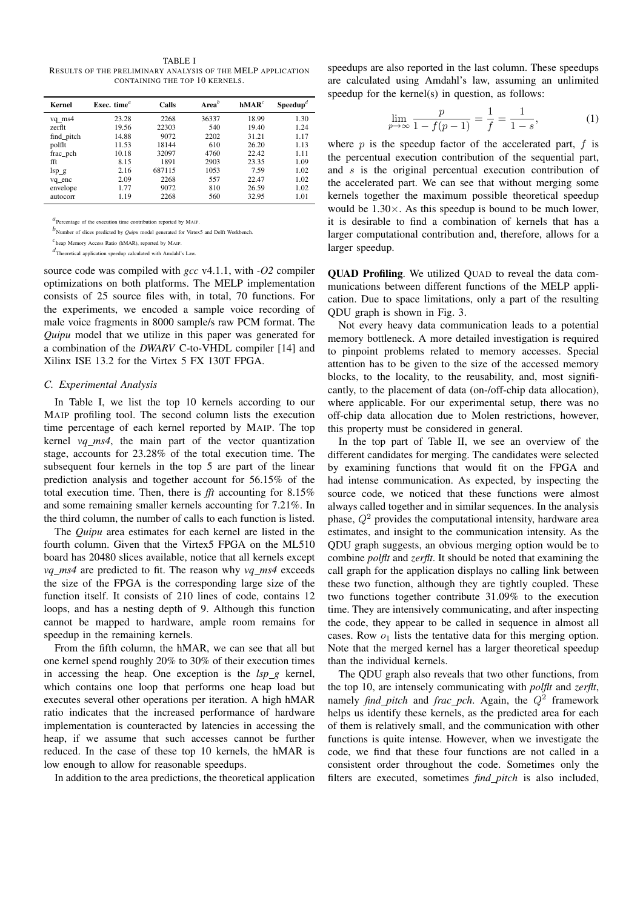TABLE I RESULTS OF THE PRELIMINARY ANALYSIS OF THE MELP APPLICATION CONTAINING THE TOP 10 KERNELS.

| <b>Kernel</b> | Exec. time $^a$ | Calls  | Area $^b$ | hMAR <sup>c</sup> | $S$ peedup $d$ |
|---------------|-----------------|--------|-----------|-------------------|----------------|
| vq_ms4        | 23.28           | 2268   | 36337     | 18.99             | 1.30           |
| zerflt        | 19.56           | 22303  | 540       | 19.40             | 1.24           |
| find pitch    | 14.88           | 9072   | 2202      | 31.21             | 1.17           |
| polfit        | 11.53           | 18144  | 610       | 26.20             | 1.13           |
| frac_pch      | 10.18           | 32097  | 4760      | 22.42             | 1.11           |
| fft           | 8.15            | 1891   | 2903      | 23.35             | 1.09           |
| $lsp_g$       | 2.16            | 687115 | 1053      | 7.59              | 1.02           |
| vq enc        | 2.09            | 2268   | 557       | 22.47             | 1.02           |
| envelope      | 1.77            | 9072   | 810       | 26.59             | 1.02           |
| autocorr      | 1.19            | 2268   | 560       | 32.95             | 1.01           |

*a* Percentage of the execution time contribution reported by MAIP.

*b* Number of slices predicted by *Quipu* model generated for Virtex5 and Delft Workbench.

*c* heap Memory Access Ratio (hMAR), reported by MAIP.

*d* Theoretical application speedup calculated with Amdahl's Law.

source code was compiled with *gcc* v4.1.1, with *-O2* compiler optimizations on both platforms. The MELP implementation consists of 25 source files with, in total, 70 functions. For the experiments, we encoded a sample voice recording of male voice fragments in 8000 sample/s raw PCM format. The *Quipu* model that we utilize in this paper was generated for a combination of the *DWARV* C-to-VHDL compiler [14] and Xilinx ISE 13.2 for the Virtex 5 FX 130T FPGA.

# *C. Experimental Analysis*

In Table I, we list the top 10 kernels according to our MAIP profiling tool. The second column lists the execution time percentage of each kernel reported by MAIP. The top kernel *vq ms4*, the main part of the vector quantization stage, accounts for 23.28% of the total execution time. The subsequent four kernels in the top 5 are part of the linear prediction analysis and together account for 56.15% of the total execution time. Then, there is *fft* accounting for 8.15% and some remaining smaller kernels accounting for 7.21%. In the third column, the number of calls to each function is listed.

The *Quipu* area estimates for each kernel are listed in the fourth column. Given that the Virtex5 FPGA on the ML510 board has 20480 slices available, notice that all kernels except *vq ms4* are predicted to fit. The reason why *vq ms4* exceeds the size of the FPGA is the corresponding large size of the function itself. It consists of 210 lines of code, contains 12 loops, and has a nesting depth of 9. Although this function cannot be mapped to hardware, ample room remains for speedup in the remaining kernels.

From the fifth column, the hMAR, we can see that all but one kernel spend roughly 20% to 30% of their execution times in accessing the heap. One exception is the *lsp\_g* kernel, which contains one loop that performs one heap load but executes several other operations per iteration. A high hMAR ratio indicates that the increased performance of hardware implementation is counteracted by latencies in accessing the heap, if we assume that such accesses cannot be further reduced. In the case of these top 10 kernels, the hMAR is low enough to allow for reasonable speedups.

In addition to the area predictions, the theoretical application

speedups are also reported in the last column. These speedups are calculated using Amdahl's law, assuming an unlimited speedup for the kernel(s) in question, as follows:

$$
\lim_{p \to \infty} \frac{p}{1 - f(p - 1)} = \frac{1}{f} = \frac{1}{1 - s},
$$
\n(1)

where  $p$  is the speedup factor of the accelerated part,  $f$  is the percentual execution contribution of the sequential part, and s is the original percentual execution contribution of the accelerated part. We can see that without merging some kernels together the maximum possible theoretical speedup would be  $1.30\times$ . As this speedup is bound to be much lower, it is desirable to find a combination of kernels that has a larger computational contribution and, therefore, allows for a larger speedup.

QUAD Profiling. We utilized QUAD to reveal the data communications between different functions of the MELP application. Due to space limitations, only a part of the resulting QDU graph is shown in Fig. 3.

Not every heavy data communication leads to a potential memory bottleneck. A more detailed investigation is required to pinpoint problems related to memory accesses. Special attention has to be given to the size of the accessed memory blocks, to the locality, to the reusability, and, most significantly, to the placement of data (on-/off-chip data allocation), where applicable. For our experimental setup, there was no off-chip data allocation due to Molen restrictions, however, this property must be considered in general.

In the top part of Table II, we see an overview of the different candidates for merging. The candidates were selected by examining functions that would fit on the FPGA and had intense communication. As expected, by inspecting the source code, we noticed that these functions were almost always called together and in similar sequences. In the analysis phase,  $Q^2$  provides the computational intensity, hardware area estimates, and insight to the communication intensity. As the QDU graph suggests, an obvious merging option would be to combine *polflt* and *zerflt*. It should be noted that examining the call graph for the application displays no calling link between these two function, although they are tightly coupled. These two functions together contribute 31.09% to the execution time. They are intensively communicating, and after inspecting the code, they appear to be called in sequence in almost all cases. Row  $o_1$  lists the tentative data for this merging option. Note that the merged kernel has a larger theoretical speedup than the individual kernels.

The QDU graph also reveals that two other functions, from the top 10, are intensely communicating with *polflt* and *zerflt*, namely *find\_pitch* and *frac\_pch*. Again, the  $Q^2$  framework helps us identify these kernels, as the predicted area for each of them is relatively small, and the communication with other functions is quite intense. However, when we investigate the code, we find that these four functions are not called in a consistent order throughout the code. Sometimes only the filters are executed, sometimes *find pitch* is also included,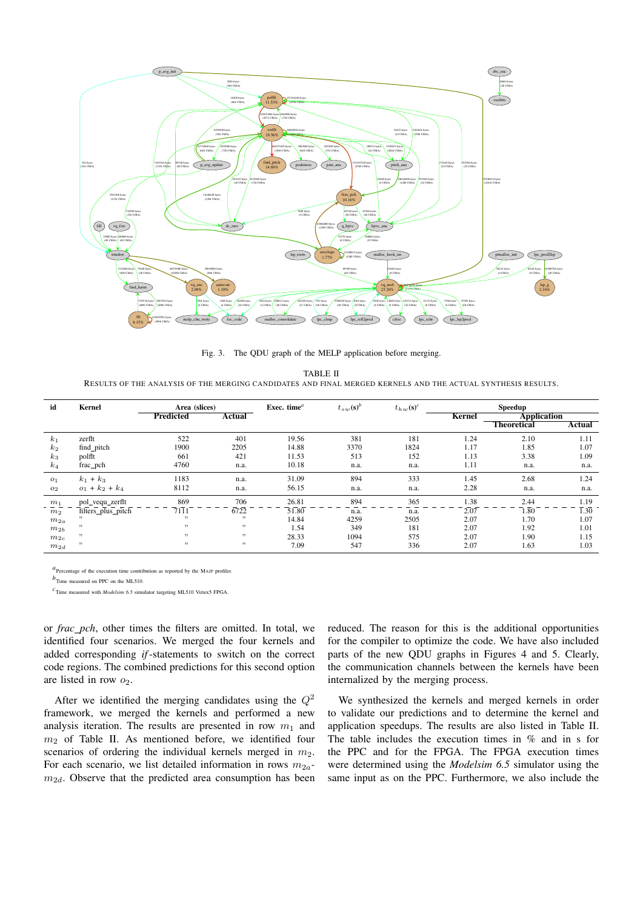

Fig. 3. The QDU graph of the MELP application before merging.

TABLE II

RESULTS OF THE ANALYSIS OF THE MERGING CANDIDATES AND FINAL MERGED KERNELS AND THE ACTUAL SYNTHESIS RESULTS.

| id                               | Kernel                           | Area (slices)      |                    | Exec. time $a$          | $t_{sw}(\mathbf{s})^b$ | $t_{hw}(\mathbf{s})^c$ | Speedup              |                      |                                     |
|----------------------------------|----------------------------------|--------------------|--------------------|-------------------------|------------------------|------------------------|----------------------|----------------------|-------------------------------------|
|                                  |                                  | Predicted          | Actual             |                         |                        |                        | <b>Kernel</b>        | Theoretical          | <b>Application</b><br><b>Actual</b> |
| $k_1$<br>$k_2$                   | zerflt<br>find_pitch<br>polfit   | 522<br>1900<br>661 | 401<br>2205<br>421 | 19.56<br>14.88<br>11.53 | 381<br>3370<br>513     | 181<br>1824<br>152     | 1.24<br>1.17<br>1.13 | 2.10<br>1.85<br>3.38 | 1.11<br>1.07<br>1.09                |
| $k_3$<br>$k_4$                   | frac_pch                         | 4760               | n.a.               | 10.18                   | n.a.                   | n.a.                   | 1.11                 | n.a.                 | n.a.                                |
| O <sub>1</sub><br>O <sub>2</sub> | $k_1 + k_3$<br>$o_1 + k_2 + k_4$ | 1183<br>8112       | n.a.<br>n.a.       | 31.09<br>56.15          | 894<br>n.a.            | 333<br>n.a.            | 1.45<br>2.28         | 2.68<br>n.a.         | 1.24<br>n.a.                        |
|                                  |                                  |                    |                    |                         |                        |                        |                      |                      |                                     |
| $m_1$                            | pol_vequ_zerflt                  | 869                | 706                | 26.81                   | 894                    | 365                    | 1.38                 | 2.44                 | 1.19                                |
| m <sub>2</sub>                   | filters_plus_pitch               | 7111               | 6722               | 51.80                   | n.a.                   | n.a.                   | 2.07                 | 1.80                 | 1.30                                |
| $m_{2a}$                         |                                  | ,                  | , 2, 3             | 14.84                   | 4259                   | 2505                   | 2.07                 | 1.70                 | 1.07                                |
| $m_{2b}$                         | , ,                              | ,                  | "                  | 1.54                    | 349                    | 181                    | 2.07                 | 1.92                 | 1.01                                |
| $m_{2c}$                         | ,                                | "                  | , 2                | 28.33                   | 1094                   | 575                    | 2.07                 | 1.90                 | 1.15                                |
| $m_{2d}$                         | ,                                | ,                  | , ,                | 7.09                    | 547                    | 336                    | 2.07                 | 1.63                 | 1.03                                |

*a* Percentage of the execution time contribution as reported by the MAIP profiler.

*b* Time measured on PPC on the ML510.

*c* Time measured with *Modelsim 6.5* simulator targeting ML510 Virtex5 FPGA.

or *frac pch*, other times the filters are omitted. In total, we identified four scenarios. We merged the four kernels and added corresponding *if*-statements to switch on the correct code regions. The combined predictions for this second option are listed in row  $o_2$ .

After we identified the merging candidates using the  $Q^2$ framework, we merged the kernels and performed a new analysis iteration. The results are presented in row  $m_1$  and  $m<sub>2</sub>$  of Table II. As mentioned before, we identified four scenarios of ordering the individual kernels merged in  $m_2$ . For each scenario, we list detailed information in rows  $m_{2a}$  $m_{2d}$ . Observe that the predicted area consumption has been

reduced. The reason for this is the additional opportunities for the compiler to optimize the code. We have also included parts of the new QDU graphs in Figures 4 and 5. Clearly, the communication channels between the kernels have been internalized by the merging process.

We synthesized the kernels and merged kernels in order to validate our predictions and to determine the kernel and application speedups. The results are also listed in Table II. The table includes the execution times in % and in s for the PPC and for the FPGA. The FPGA execution times were determined using the *Modelsim 6.5* simulator using the same input as on the PPC. Furthermore, we also include the